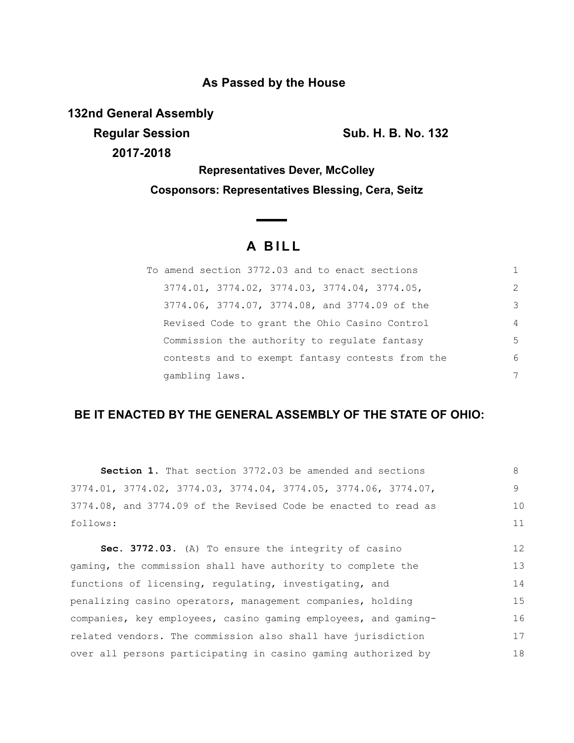### **As Passed by the House**

**132nd General Assembly**

**Regular Session Sub. H. B. No. 132 2017-2018**

**Representatives Dever, McColley Cosponsors: Representatives Blessing, Cera, Seitz**

# **A B I L L**

| To amend section 3772.03 and to enact sections   |                |
|--------------------------------------------------|----------------|
| 3774.01, 3774.02, 3774.03, 3774.04, 3774.05,     | 2              |
| 3774.06, 3774.07, 3774.08, and 3774.09 of the    | 3              |
| Revised Code to grant the Ohio Casino Control    | $\overline{4}$ |
| Commission the authority to regulate fantasy     | 5              |
| contests and to exempt fantasy contests from the | 6              |
| gambling laws.                                   | 7              |

## **BE IT ENACTED BY THE GENERAL ASSEMBLY OF THE STATE OF OHIO:**

| Section 1. That section 3772.03 be amended and sections          | 8  |
|------------------------------------------------------------------|----|
| $3774.01, 3774.02, 3774.03, 3774.04, 3774.05, 3774.06, 3774.07,$ | 9  |
| 3774.08, and 3774.09 of the Revised Code be enacted to read as   | 10 |
| follows:                                                         | 11 |
| Sec. 3772.03. (A) To ensure the integrity of casino              | 12 |
| gaming, the commission shall have authority to complete the      | 13 |
| functions of licensing, regulating, investigating, and           | 14 |
| penalizing casino operators, management companies, holding       | 15 |
| companies, key employees, casino gaming employees, and gaming-   | 16 |
| related vendors. The commission also shall have jurisdiction     | 17 |
| over all persons participating in casino gaming authorized by    | 18 |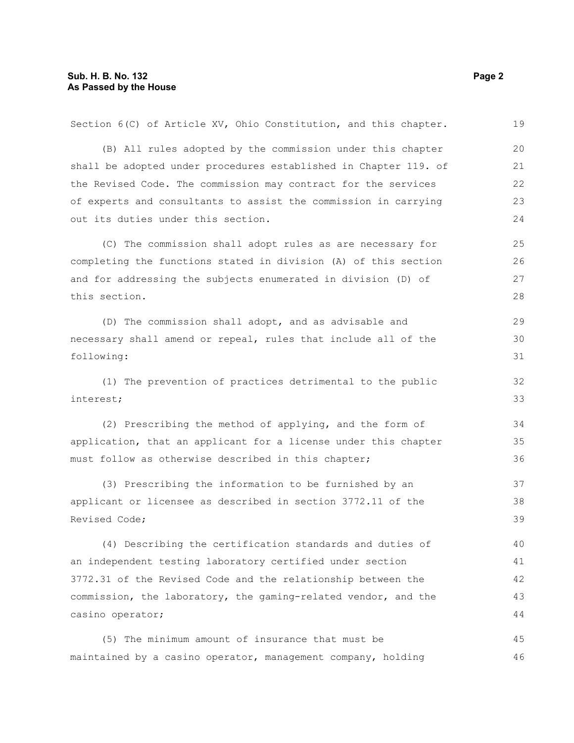| Section 6(C) of Article XV, Ohio Constitution, and this chapter. | 19 |
|------------------------------------------------------------------|----|
| (B) All rules adopted by the commission under this chapter       | 20 |
| shall be adopted under procedures established in Chapter 119. of | 21 |
| the Revised Code. The commission may contract for the services   | 22 |
| of experts and consultants to assist the commission in carrying  | 23 |
| out its duties under this section.                               | 24 |
| (C) The commission shall adopt rules as are necessary for        | 25 |
| completing the functions stated in division (A) of this section  | 26 |
| and for addressing the subjects enumerated in division (D) of    | 27 |
| this section.                                                    | 28 |
| (D) The commission shall adopt, and as advisable and             | 29 |
| necessary shall amend or repeal, rules that include all of the   | 30 |
| following:                                                       | 31 |
| (1) The prevention of practices detrimental to the public        | 32 |
| interest;                                                        | 33 |
| (2) Prescribing the method of applying, and the form of          | 34 |
| application, that an applicant for a license under this chapter  | 35 |
| must follow as otherwise described in this chapter;              | 36 |
| (3) Prescribing the information to be furnished by an            | 37 |
| applicant or licensee as described in section 3772.11 of the     | 38 |
| Revised Code;                                                    | 39 |
| (4) Describing the certification standards and duties of         | 40 |
| an independent testing laboratory certified under section        | 41 |
| 3772.31 of the Revised Code and the relationship between the     | 42 |
| commission, the laboratory, the gaming-related vendor, and the   | 43 |
| casino operator;                                                 | 44 |
| (5) The minimum amount of insurance that must be                 | 45 |
| maintained by a casino operator, management company, holding     | 46 |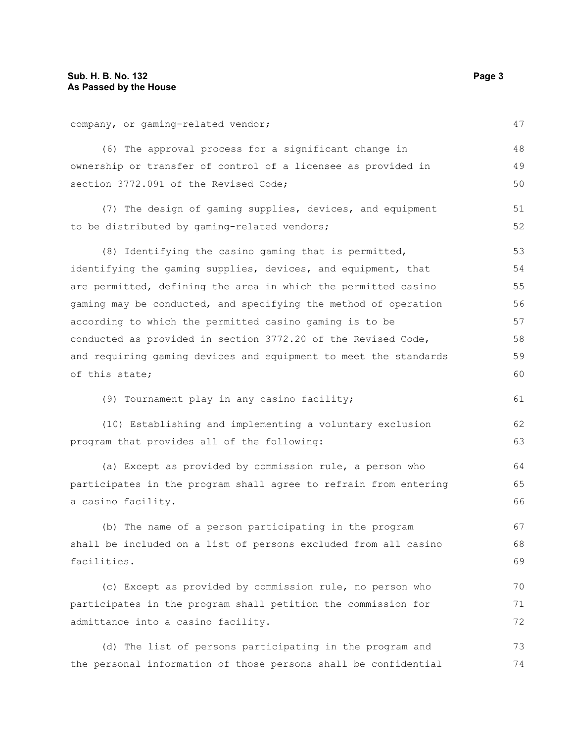company, or gaming-related vendor; (6) The approval process for a significant change in ownership or transfer of control of a licensee as provided in section 3772.091 of the Revised Code; (7) The design of gaming supplies, devices, and equipment to be distributed by gaming-related vendors; (8) Identifying the casino gaming that is permitted, identifying the gaming supplies, devices, and equipment, that are permitted, defining the area in which the permitted casino gaming may be conducted, and specifying the method of operation according to which the permitted casino gaming is to be conducted as provided in section 3772.20 of the Revised Code, and requiring gaming devices and equipment to meet the standards of this state; (9) Tournament play in any casino facility; (10) Establishing and implementing a voluntary exclusion program that provides all of the following: (a) Except as provided by commission rule, a person who participates in the program shall agree to refrain from entering a casino facility. (b) The name of a person participating in the program shall be included on a list of persons excluded from all casino facilities. (c) Except as provided by commission rule, no person who participates in the program shall petition the commission for admittance into a casino facility. (d) The list of persons participating in the program and 47 48 49 50 51 52 53 54 55 56 57 58 59 60 61 62 63 64 65 66 67 68 69 70 71 72 73

the personal information of those persons shall be confidential 74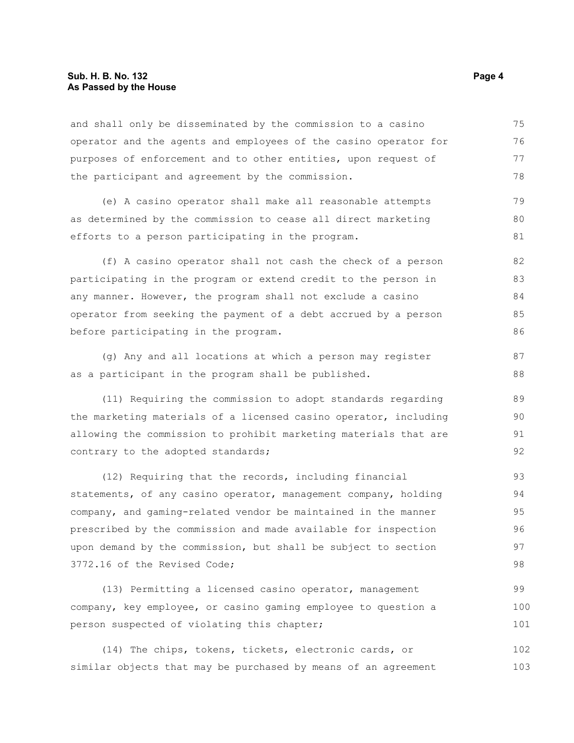#### **Sub. H. B. No. 132 Page 4 As Passed by the House**

and shall only be disseminated by the commission to a casino operator and the agents and employees of the casino operator for purposes of enforcement and to other entities, upon request of the participant and agreement by the commission. 75 76 77 78

(e) A casino operator shall make all reasonable attempts as determined by the commission to cease all direct marketing efforts to a person participating in the program. 79 80 81

(f) A casino operator shall not cash the check of a person participating in the program or extend credit to the person in any manner. However, the program shall not exclude a casino operator from seeking the payment of a debt accrued by a person before participating in the program. 82 83 84 85 86

(g) Any and all locations at which a person may register as a participant in the program shall be published. 87 88

(11) Requiring the commission to adopt standards regarding the marketing materials of a licensed casino operator, including allowing the commission to prohibit marketing materials that are contrary to the adopted standards;

(12) Requiring that the records, including financial statements, of any casino operator, management company, holding company, and gaming-related vendor be maintained in the manner prescribed by the commission and made available for inspection upon demand by the commission, but shall be subject to section 3772.16 of the Revised Code; 93 94 95 96 97 98

(13) Permitting a licensed casino operator, management company, key employee, or casino gaming employee to question a person suspected of violating this chapter; 99 100 101

(14) The chips, tokens, tickets, electronic cards, or similar objects that may be purchased by means of an agreement 102 103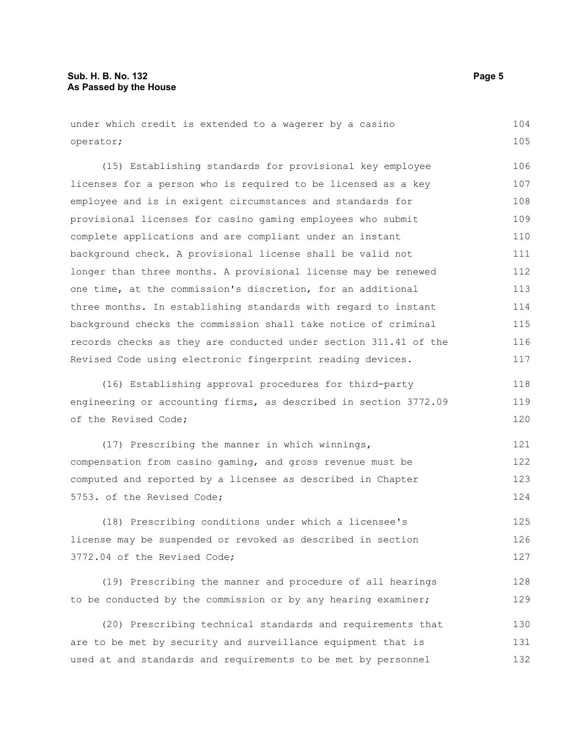#### **Sub. H. B. No. 132 Page 5 As Passed by the House**

under which credit is extended to a wagerer by a casino operator; 104 105

(15) Establishing standards for provisional key employee licenses for a person who is required to be licensed as a key employee and is in exigent circumstances and standards for provisional licenses for casino gaming employees who submit complete applications and are compliant under an instant background check. A provisional license shall be valid not longer than three months. A provisional license may be renewed one time, at the commission's discretion, for an additional three months. In establishing standards with regard to instant background checks the commission shall take notice of criminal records checks as they are conducted under section 311.41 of the Revised Code using electronic fingerprint reading devices. 106 107 108 109 110 111 112 113 114 115 116 117

(16) Establishing approval procedures for third-party engineering or accounting firms, as described in section 3772.09 of the Revised Code; 118 119 120

(17) Prescribing the manner in which winnings, compensation from casino gaming, and gross revenue must be computed and reported by a licensee as described in Chapter 5753. of the Revised Code; 121 122 123 124

(18) Prescribing conditions under which a licensee's license may be suspended or revoked as described in section 3772.04 of the Revised Code; 125 126 127

(19) Prescribing the manner and procedure of all hearings to be conducted by the commission or by any hearing examiner; 128 129

(20) Prescribing technical standards and requirements that are to be met by security and surveillance equipment that is used at and standards and requirements to be met by personnel 130 131 132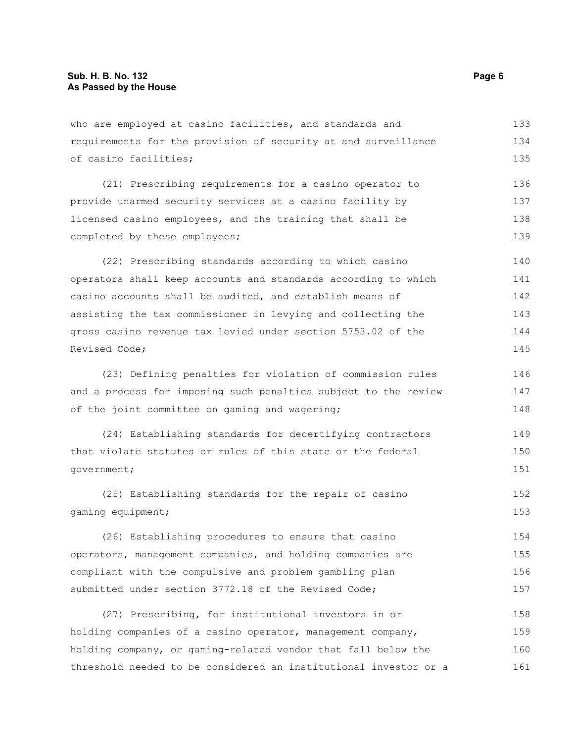who are employed at casino facilities, and standards and requirements for the provision of security at and surveillance of casino facilities; 133 134 135

(21) Prescribing requirements for a casino operator to provide unarmed security services at a casino facility by licensed casino employees, and the training that shall be completed by these employees; 136 137 138 139

(22) Prescribing standards according to which casino operators shall keep accounts and standards according to which casino accounts shall be audited, and establish means of assisting the tax commissioner in levying and collecting the gross casino revenue tax levied under section 5753.02 of the Revised Code; 140 141 142 143 144 145

(23) Defining penalties for violation of commission rules and a process for imposing such penalties subject to the review of the joint committee on gaming and wagering; 146 147 148

(24) Establishing standards for decertifying contractors that violate statutes or rules of this state or the federal government; 149 150 151

(25) Establishing standards for the repair of casino gaming equipment; 152 153

(26) Establishing procedures to ensure that casino operators, management companies, and holding companies are compliant with the compulsive and problem gambling plan submitted under section 3772.18 of the Revised Code; 154 155 156 157

(27) Prescribing, for institutional investors in or holding companies of a casino operator, management company, holding company, or gaming-related vendor that fall below the threshold needed to be considered an institutional investor or a 158 159 160 161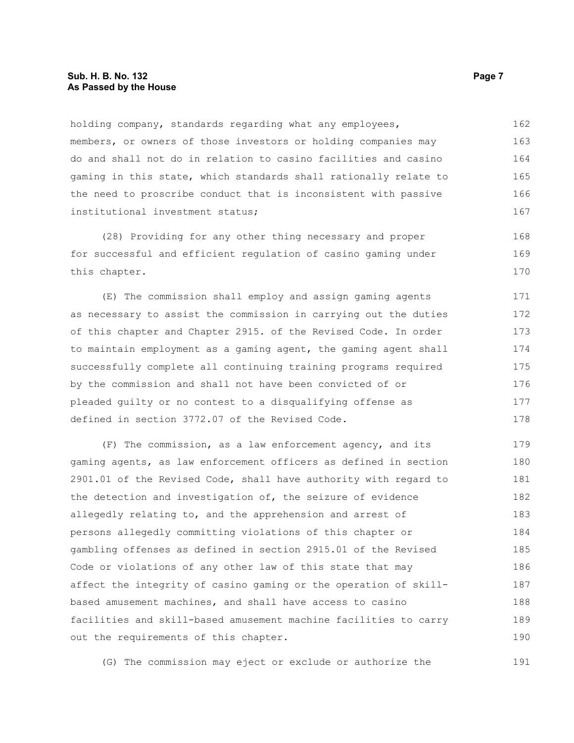#### **Sub. H. B. No. 132 Page 7 As Passed by the House**

holding company, standards regarding what any employees, members, or owners of those investors or holding companies may do and shall not do in relation to casino facilities and casino gaming in this state, which standards shall rationally relate to the need to proscribe conduct that is inconsistent with passive institutional investment status; 162 163 164 165 166 167

(28) Providing for any other thing necessary and proper for successful and efficient regulation of casino gaming under this chapter. 168 169 170

(E) The commission shall employ and assign gaming agents as necessary to assist the commission in carrying out the duties of this chapter and Chapter 2915. of the Revised Code. In order to maintain employment as a gaming agent, the gaming agent shall successfully complete all continuing training programs required by the commission and shall not have been convicted of or pleaded guilty or no contest to a disqualifying offense as defined in section 3772.07 of the Revised Code. 171 172 173 174 175 176 177 178

(F) The commission, as a law enforcement agency, and its gaming agents, as law enforcement officers as defined in section 2901.01 of the Revised Code, shall have authority with regard to the detection and investigation of, the seizure of evidence allegedly relating to, and the apprehension and arrest of persons allegedly committing violations of this chapter or gambling offenses as defined in section 2915.01 of the Revised Code or violations of any other law of this state that may affect the integrity of casino gaming or the operation of skillbased amusement machines, and shall have access to casino facilities and skill-based amusement machine facilities to carry out the requirements of this chapter. 179 180 181 182 183 184 185 186 187 188 189 190

(G) The commission may eject or exclude or authorize the 191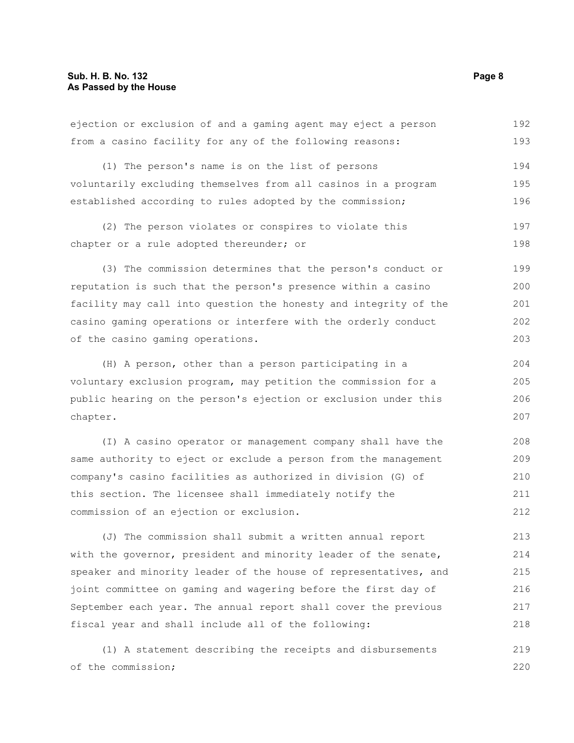| from a casino facility for any of the following reasons:         | 193 |
|------------------------------------------------------------------|-----|
| (1) The person's name is on the list of persons                  | 194 |
| voluntarily excluding themselves from all casinos in a program   | 195 |
| established according to rules adopted by the commission;        | 196 |
| (2) The person violates or conspires to violate this             | 197 |
| chapter or a rule adopted thereunder; or                         | 198 |
| (3) The commission determines that the person's conduct or       | 199 |
| reputation is such that the person's presence within a casino    | 200 |
| facility may call into question the honesty and integrity of the | 201 |
| casino gaming operations or interfere with the orderly conduct   | 202 |
| of the casino gaming operations.                                 | 203 |
| (H) A person, other than a person participating in a             | 204 |
| voluntary exclusion program, may petition the commission for a   | 205 |
| public hearing on the person's ejection or exclusion under this  | 206 |
| chapter.                                                         | 207 |
| (I) A casino operator or management company shall have the       | 208 |
| same authority to eject or exclude a person from the management  | 209 |
| company's casino facilities as authorized in division (G) of     | 210 |
| this section. The licensee shall immediately notify the          | 211 |
| commission of an ejection or exclusion.                          | 212 |
| (J) The commission shall submit a written annual report          | 213 |
| with the governor, president and minority leader of the senate,  | 214 |
| speaker and minority leader of the house of representatives, and | 215 |

ejection or exclusion of and a gaming agent may eject a person

(1) A statement describing the receipts and disbursements of the commission; 219 220

joint committee on gaming and wagering before the first day of

fiscal year and shall include all of the following:

September each year. The annual report shall cover the previous

192

216 217 218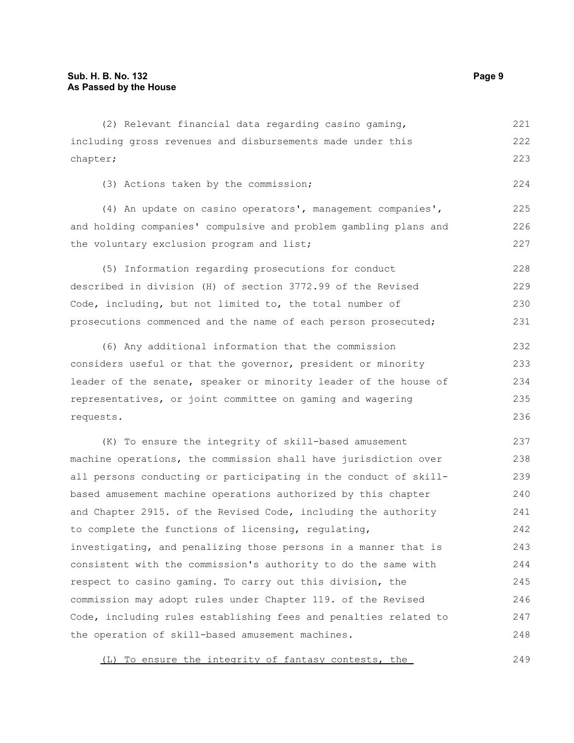(2) Relevant financial data regarding casino gaming, including gross revenues and disbursements made under this chapter; (3) Actions taken by the commission; (4) An update on casino operators', management companies', and holding companies' compulsive and problem gambling plans and the voluntary exclusion program and list; (5) Information regarding prosecutions for conduct described in division (H) of section 3772.99 of the Revised Code, including, but not limited to, the total number of prosecutions commenced and the name of each person prosecuted; (6) Any additional information that the commission considers useful or that the governor, president or minority leader of the senate, speaker or minority leader of the house of representatives, or joint committee on gaming and wagering requests. (K) To ensure the integrity of skill-based amusement machine operations, the commission shall have jurisdiction over all persons conducting or participating in the conduct of skillbased amusement machine operations authorized by this chapter 221 222 223 224 225 226 227 228 229 230 231 232 233 234 235 236 237 238 239 240

and Chapter 2915. of the Revised Code, including the authority to complete the functions of licensing, regulating, investigating, and penalizing those persons in a manner that is consistent with the commission's authority to do the same with respect to casino gaming. To carry out this division, the commission may adopt rules under Chapter 119. of the Revised Code, including rules establishing fees and penalties related to the operation of skill-based amusement machines. 241 242 243 244 245 246 247 248

(L) To ensure the integrity of fantasy contests, the 249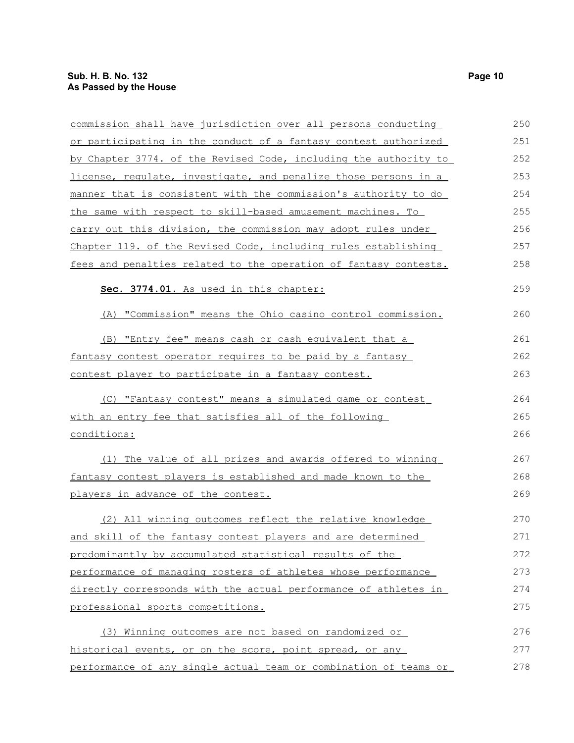| commission shall have jurisdiction over all persons conducting   | 250 |
|------------------------------------------------------------------|-----|
| or participating in the conduct of a fantasy contest authorized  | 251 |
| by Chapter 3774. of the Revised Code, including the authority to | 252 |
| license, requlate, investigate, and penalize those persons in a  | 253 |
| manner that is consistent with the commission's authority to do  | 254 |
| the same with respect to skill-based amusement machines. To      | 255 |
| carry out this division, the commission may adopt rules under    | 256 |
| Chapter 119. of the Revised Code, including rules establishing   | 257 |
| fees and penalties related to the operation of fantasy contests. | 258 |
| Sec. 3774.01. As used in this chapter:                           | 259 |
| (A) "Commission" means the Ohio casino control commission.       | 260 |
| (B) "Entry fee" means cash or cash equivalent that a             | 261 |
| fantasy contest operator requires to be paid by a fantasy        | 262 |
| contest player to participate in a fantasy contest.              | 263 |
| (C) "Fantasy contest" means a simulated game or contest          | 264 |
| with an entry fee that satisfies all of the following            | 265 |
| conditions:                                                      | 266 |
| (1) The value of all prizes and awards offered to winning        | 267 |
| fantasy contest players is established and made known to the     | 268 |
| players in advance of the contest.                               | 269 |
| (2) All winning outcomes reflect the relative knowledge          | 270 |
| and skill of the fantasy contest players and are determined      | 271 |
| predominantly by accumulated statistical results of the          | 272 |
| performance of managing rosters of athletes whose performance    | 273 |
| directly corresponds with the actual performance of athletes in  | 274 |
| professional sports competitions.                                | 275 |
| (3) Winning outcomes are not based on randomized or              | 276 |
| historical events, or on the score, point spread, or any         | 277 |
| performance of any single actual team or combination of teams or | 278 |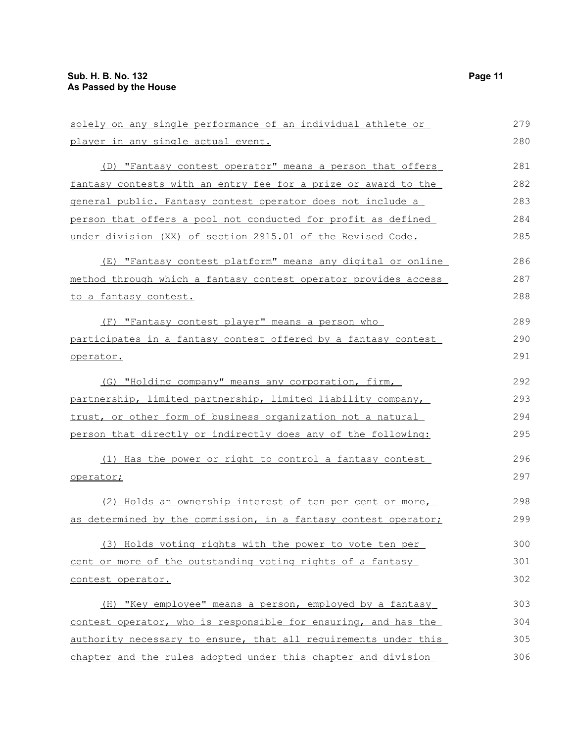| solely on any single performance of an individual athlete or    | 279 |
|-----------------------------------------------------------------|-----|
| player in any single actual event.                              | 280 |
| (D) "Fantasy contest operator" means a person that offers       | 281 |
| fantasy contests with an entry fee for a prize or award to the  | 282 |
| general public. Fantasy contest operator does not include a     | 283 |
| person that offers a pool not conducted for profit as defined   | 284 |
| under division (XX) of section 2915.01 of the Revised Code.     | 285 |
| (E) "Fantasy contest platform" means any digital or online      | 286 |
| method through which a fantasy contest operator provides access | 287 |
| to a fantasy contest.                                           | 288 |
| (F) "Fantasy contest player" means a person who                 | 289 |
| participates in a fantasy contest offered by a fantasy contest  | 290 |
| operator.                                                       | 291 |
| (G) "Holding company" means any corporation, firm,              | 292 |
| partnership, limited partnership, limited liability company,    | 293 |
| trust, or other form of business organization not a natural     | 294 |
| person that directly or indirectly does any of the following:   | 295 |
| (1) Has the power or right to control a fantasy contest         | 296 |
| operator;                                                       | 297 |
| (2) Holds an ownership interest of ten per cent or more,        | 298 |
| as determined by the commission, in a fantasy contest operator; | 299 |
| (3) Holds voting rights with the power to vote ten per          | 300 |
| cent or more of the outstanding voting rights of a fantasy      | 301 |
| contest operator.                                               | 302 |
| (H) "Key employee" means a person, employed by a fantasy        | 303 |
| contest operator, who is responsible for ensuring, and has the  | 304 |
| authority necessary to ensure, that all requirements under this | 305 |
| chapter and the rules adopted under this chapter and division   | 306 |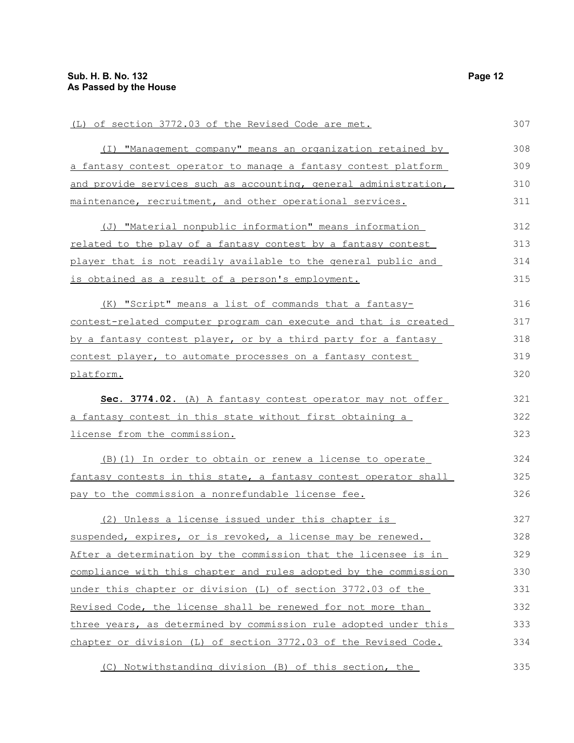| (L) of section 3772.03 of the Revised Code are met.              | 307 |
|------------------------------------------------------------------|-----|
| (I) "Management company" means an organization retained by       | 308 |
| a fantasy contest operator to manage a fantasy contest platform  | 309 |
| and provide services such as accounting, general administration, | 310 |
| maintenance, recruitment, and other operational services.        | 311 |
| (J) "Material nonpublic information" means information           | 312 |
| related to the play of a fantasy contest by a fantasy contest    | 313 |
| player that is not readily available to the general public and   | 314 |
| is obtained as a result of a person's employment.                | 315 |
| (K) "Script" means a list of commands that a fantasy-            | 316 |
| contest-related computer program can execute and that is created | 317 |
| by a fantasy contest player, or by a third party for a fantasy   | 318 |
| contest player, to automate processes on a fantasy contest       | 319 |
| platform.                                                        | 320 |
| Sec. 3774.02. (A) A fantasy contest operator may not offer       | 321 |
| a fantasy contest in this state without first obtaining a        | 322 |
| license from the commission.                                     | 323 |
| (B) (1) In order to obtain or renew a license to operate         | 324 |
| fantasy contests in this state, a fantasy contest operator shall | 325 |
| pay to the commission a nonrefundable license fee.               | 326 |
| (2) Unless a license issued under this chapter is                | 327 |
| suspended, expires, or is revoked, a license may be renewed.     | 328 |
| After a determination by the commission that the licensee is in  | 329 |
| compliance with this chapter and rules adopted by the commission | 330 |
| under this chapter or division (L) of section 3772.03 of the     | 331 |
| Revised Code, the license shall be renewed for not more than     | 332 |
| three years, as determined by commission rule adopted under this | 333 |
| chapter or division (L) of section 3772.03 of the Revised Code.  | 334 |
| (C) Notwithstanding division (B) of this section, the            | 335 |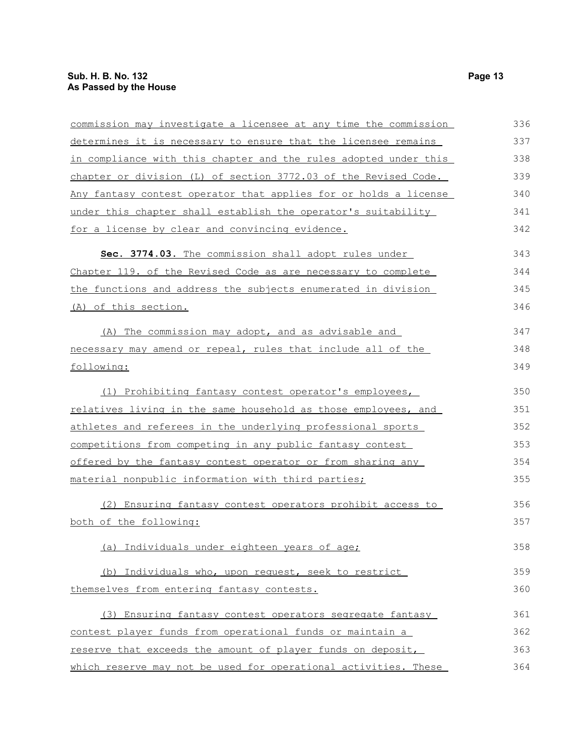| commission may investigate a licensee at any time the commission | 336 |
|------------------------------------------------------------------|-----|
| determines it is necessary to ensure that the licensee remains   | 337 |
| in compliance with this chapter and the rules adopted under this | 338 |
| chapter or division (L) of section 3772.03 of the Revised Code.  | 339 |
| Any fantasy contest operator that applies for or holds a license | 340 |
| under this chapter shall establish the operator's suitability    | 341 |
| for a license by clear and convincing evidence.                  | 342 |
| Sec. 3774.03. The commission shall adopt rules under             | 343 |
| Chapter 119. of the Revised Code as are necessary to complete    | 344 |
| the functions and address the subjects enumerated in division    | 345 |
| (A) of this section.                                             | 346 |
| (A) The commission may adopt, and as advisable and               | 347 |
| necessary may amend or repeal, rules that include all of the     | 348 |
| following:                                                       | 349 |
| (1) Prohibiting fantasy contest operator's employees,            | 350 |
| relatives living in the same household as those employees, and   | 351 |
| athletes and referees in the underlying professional sports      | 352 |
| competitions from competing in any public fantasy contest        | 353 |
| offered by the fantasy contest operator or from sharing any      | 354 |
| material nonpublic information with third parties;               | 355 |
| (2) Ensuring fantasy contest operators prohibit access to        | 356 |
| both of the following:                                           | 357 |
| (a) Individuals under eighteen years of age;                     | 358 |
| (b) Individuals who, upon request, seek to restrict              | 359 |
| themselves from entering fantasy contests.                       | 360 |
| (3) Ensuring fantasy contest operators segregate fantasy         | 361 |
| contest player funds from operational funds or maintain a        | 362 |
| reserve that exceeds the amount of player funds on deposit,      | 363 |
| which reserve may not be used for operational activities. These  | 364 |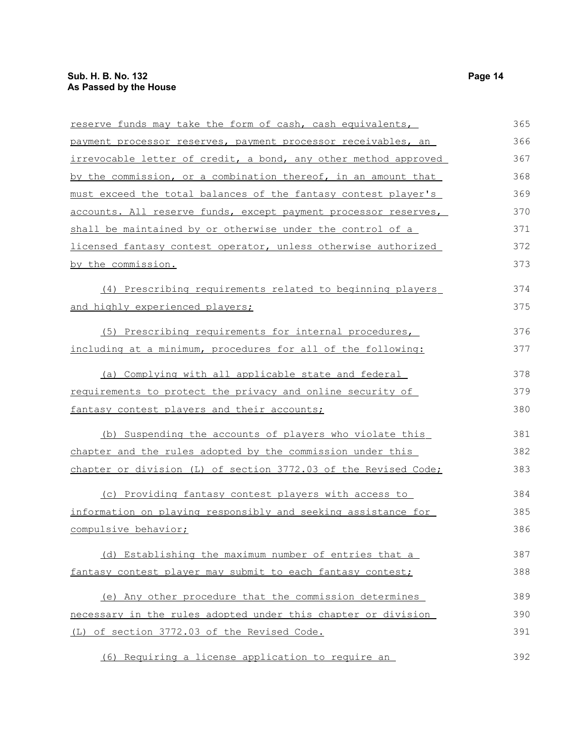| reserve funds may take the form of cash, cash equivalents,      | 365 |
|-----------------------------------------------------------------|-----|
| payment processor reserves, payment processor receivables, an   | 366 |
| irrevocable letter of credit, a bond, any other method approved | 367 |
| by the commission, or a combination thereof, in an amount that  | 368 |
| must exceed the total balances of the fantasy contest player's  | 369 |
| accounts. All reserve funds, except payment processor reserves, | 370 |
| shall be maintained by or otherwise under the control of a      | 371 |
| licensed fantasy contest operator, unless otherwise authorized  | 372 |
| by the commission.                                              | 373 |
| (4) Prescribing requirements related to beginning players       | 374 |
| and highly experienced players;                                 | 375 |
| (5) Prescribing requirements for internal procedures,           | 376 |
| including at a minimum, procedures for all of the following:    | 377 |
| (a) Complying with all applicable state and federal             | 378 |
| requirements to protect the privacy and online security of      | 379 |
| fantasy contest players and their accounts;                     | 380 |
| (b) Suspending the accounts of players who violate this         | 381 |
| chapter and the rules adopted by the commission under this      | 382 |
| chapter or division (L) of section 3772.03 of the Revised Code; | 383 |
| (c) Providing fantasy contest players with access to            | 384 |
| information on playing responsibly and seeking assistance for   | 385 |
| compulsive behavior;                                            | 386 |
| (d) Establishing the maximum number of entries that a           | 387 |
| fantasy contest player may submit to each fantasy contest;      | 388 |
| (e) Any other procedure that the commission determines          | 389 |
| necessary in the rules adopted under this chapter or division   | 390 |
| (L) of section 3772.03 of the Revised Code.                     | 391 |
| (6) Requiring a license application to require an               | 392 |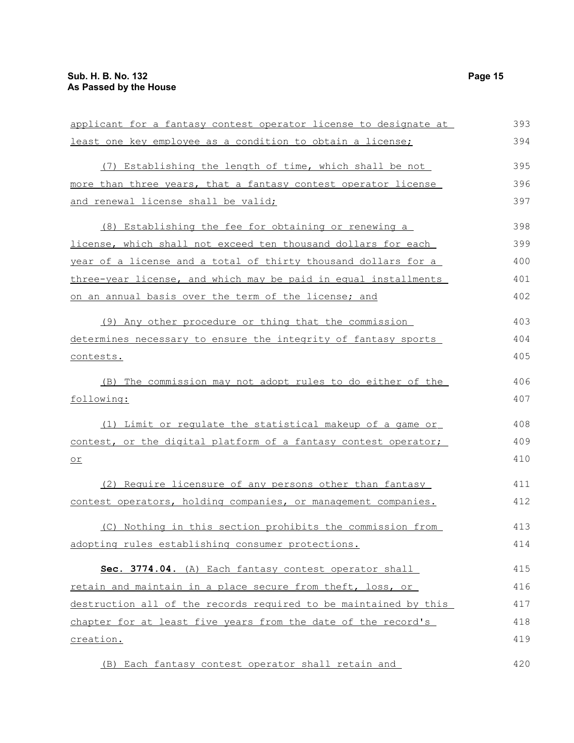| applicant for a fantasy contest operator license to designate at | 393 |
|------------------------------------------------------------------|-----|
| least one key employee as a condition to obtain a license;       | 394 |
| (7) Establishing the length of time, which shall be not          | 395 |
| more than three years, that a fantasy contest operator license   | 396 |
| and renewal license shall be valid;                              | 397 |
| (8) Establishing the fee for obtaining or renewing a             | 398 |
| license, which shall not exceed ten thousand dollars for each    | 399 |
| year of a license and a total of thirty thousand dollars for a   | 400 |
| three-year license, and which may be paid in equal installments  | 401 |
| on an annual basis over the term of the license; and             | 402 |
| (9) Any other procedure or thing that the commission             | 403 |
| determines necessary to ensure the integrity of fantasy sports   | 404 |
| contests.                                                        | 405 |
| (B) The commission may not adopt rules to do either of the       | 406 |
| following:                                                       | 407 |
| (1) Limit or regulate the statistical makeup of a game or        | 408 |
| contest, or the digital platform of a fantasy contest operator;  | 409 |
| <u>or</u>                                                        | 410 |
| (2) Require licensure of any persons other than fantasy          | 411 |
| contest operators, holding companies, or management companies.   | 412 |
| (C) Nothing in this section prohibits the commission from        | 413 |
| adopting rules establishing consumer protections.                | 414 |
| Sec. 3774.04. (A) Each fantasy contest operator shall            | 415 |
| retain and maintain in a place secure from theft, loss, or       | 416 |
| destruction all of the records required to be maintained by this | 417 |
| chapter for at least five years from the date of the record's    | 418 |
| creation.                                                        | 419 |
| (B) Each fantasy contest operator shall retain and               | 420 |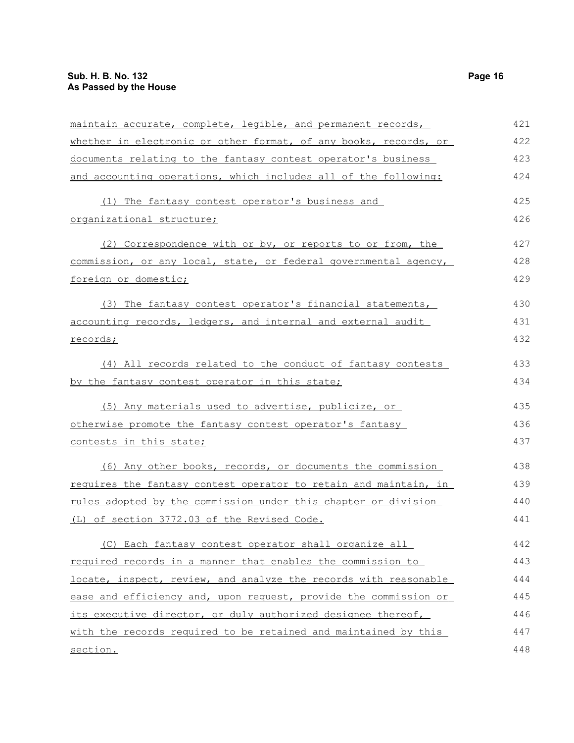| maintain accurate, complete, legible, and permanent records,     | 421 |
|------------------------------------------------------------------|-----|
| whether in electronic or other format, of any books, records, or | 422 |
| documents relating to the fantasy contest operator's business    | 423 |
| and accounting operations, which includes all of the following:  | 424 |
| (1) The fantasy contest operator's business and                  | 425 |
| organizational structure;                                        | 426 |
| (2) Correspondence with or by, or reports to or from, the        | 427 |
| commission, or any local, state, or federal governmental agency, | 428 |
| foreign or domestic;                                             | 429 |
| (3) The fantasy contest operator's financial statements,         | 430 |
| accounting records, ledgers, and internal and external audit     | 431 |
| records;                                                         | 432 |
| (4) All records related to the conduct of fantasy contests       | 433 |
| by the fantasy contest operator in this state;                   | 434 |
| (5) Any materials used to advertise, publicize, or               | 435 |
| otherwise promote the fantasy contest operator's fantasy         | 436 |
| contests in this state;                                          | 437 |
| (6) Any other books, records, or documents the commission        | 438 |
| requires the fantasy contest operator to retain and maintain, in | 439 |
| rules adopted by the commission under this chapter or division   | 440 |
| (L) of section 3772.03 of the Revised Code.                      | 441 |
| (C) Each fantasy contest operator shall organize all             | 442 |
| required records in a manner that enables the commission to      | 443 |
| locate, inspect, review, and analyze the records with reasonable | 444 |
| ease and efficiency and, upon request, provide the commission or | 445 |
| its executive director, or duly authorized designee thereof,     | 446 |
| with the records required to be retained and maintained by this  | 447 |
| section.                                                         | 448 |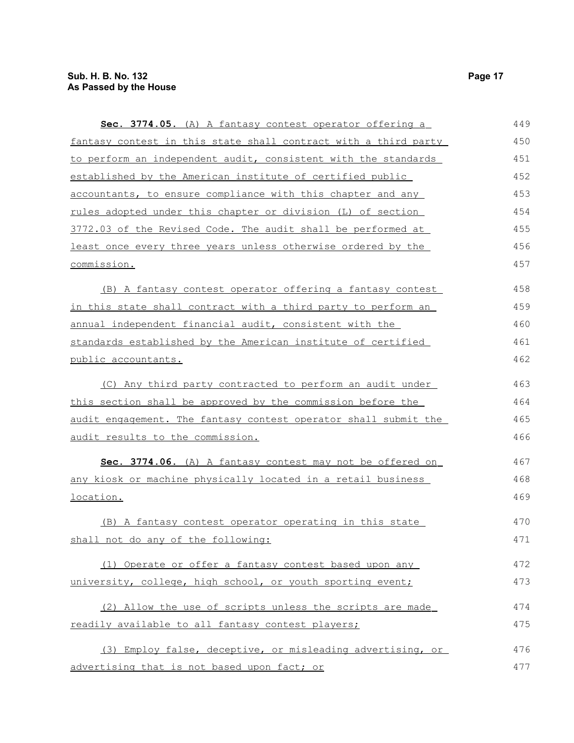| Sec. 3774.05. (A) A fantasy contest operator offering a         | 449 |
|-----------------------------------------------------------------|-----|
| fantasy contest in this state shall contract with a third party | 450 |
| to perform an independent audit, consistent with the standards  | 451 |
| established by the American institute of certified public       | 452 |
| accountants, to ensure compliance with this chapter and any     | 453 |
| rules adopted under this chapter or division (L) of section     | 454 |
| 3772.03 of the Revised Code. The audit shall be performed at    | 455 |
| least once every three years unless otherwise ordered by the    | 456 |
| commission.                                                     | 457 |
| (B) A fantasy contest operator offering a fantasy contest       | 458 |
| in this state shall contract with a third party to perform an   | 459 |
| annual independent financial audit, consistent with the         | 460 |
| standards established by the American institute of certified    | 461 |
| public accountants.                                             | 462 |
| (C) Any third party contracted to perform an audit under        | 463 |
| this section shall be approved by the commission before the     | 464 |
| audit engagement. The fantasy contest operator shall submit the | 465 |
| audit results to the commission.                                | 466 |
| Sec. 3774.06. (A) A fantasy contest may not be offered on       | 467 |
| any kiosk or machine physically located in a retail business    | 468 |
| location.                                                       | 469 |
| (B) A fantasy contest operator operating in this state          | 470 |
| shall not do any of the following:                              | 471 |
| (1) Operate or offer a fantasy contest based upon any           | 472 |
| university, college, high school, or youth sporting event;      | 473 |
| (2) Allow the use of scripts unless the scripts are made        | 474 |
| readily available to all fantasy contest players;               | 475 |
| (3) Employ false, deceptive, or misleading advertising, or      | 476 |
| advertising that is not based upon fact; or                     | 477 |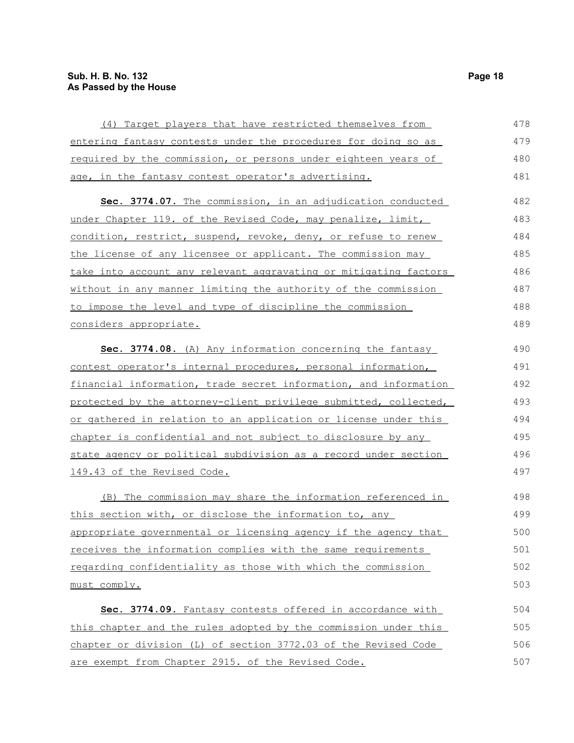| (4) Target players that have restricted themselves from               | 478 |
|-----------------------------------------------------------------------|-----|
| entering fantasy contests under the procedures for doing so as        | 479 |
| <u>required by the commission, or persons under eighteen years of</u> | 480 |
| age, in the fantasy contest operator's advertising.                   | 481 |
| Sec. 3774.07. The commission, in an adjudication conducted            | 482 |
| under Chapter 119. of the Revised Code, may penalize, limit,          | 483 |
| condition, restrict, suspend, revoke, deny, or refuse to renew        | 484 |
| the license of any licensee or applicant. The commission may          | 485 |
| take into account any relevant aggravating or mitigating factors      | 486 |
| without in any manner limiting the authority of the commission        | 487 |
| to impose the level and type of discipline the commission             | 488 |
| considers appropriate.                                                | 489 |
| Sec. 3774.08. (A) Any information concerning the fantasy              | 490 |
| contest operator's internal procedures, personal information,         | 491 |
| financial information, trade secret information, and information      | 492 |
| protected by the attorney-client privilege submitted, collected,      | 493 |
| or gathered in relation to an application or license under this       | 494 |
| chapter is confidential and not subject to disclosure by any          | 495 |
| state agency or political subdivision as a record under section       | 496 |
| 149.43 of the Revised Code.                                           | 497 |
| (B) The commission may share the information referenced in            | 498 |
| this section with, or disclose the information to, any                | 499 |
| appropriate governmental or licensing agency if the agency that       | 500 |
| receives the information complies with the same requirements          | 501 |
| regarding confidentiality as those with which the commission          | 502 |
| must comply.                                                          | 503 |
| Sec. 3774.09. Fantasy contests offered in accordance with             | 504 |
| this chapter and the rules adopted by the commission under this       | 505 |
| chapter or division (L) of section 3772.03 of the Revised Code        | 506 |
| are exempt from Chapter 2915. of the Revised Code.                    | 507 |